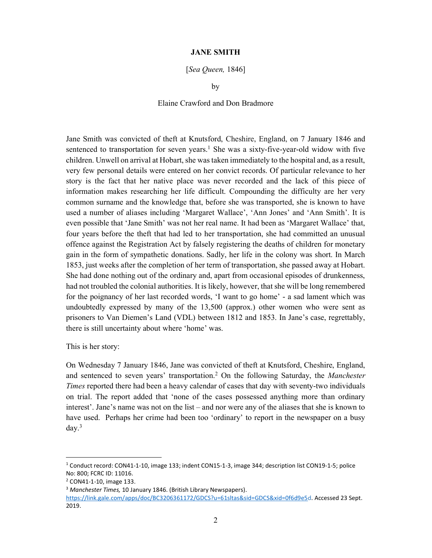## JANE SMITH

[Sea Queen, 1846]

by

## Elaine Crawford and Don Bradmore

Jane Smith was convicted of theft at Knutsford, Cheshire, England, on 7 January 1846 and sentenced to transportation for seven years.<sup>1</sup> She was a sixty-five-year-old widow with five children. Unwell on arrival at Hobart, she was taken immediately to the hospital and, as a result, very few personal details were entered on her convict records. Of particular relevance to her story is the fact that her native place was never recorded and the lack of this piece of information makes researching her life difficult. Compounding the difficulty are her very common surname and the knowledge that, before she was transported, she is known to have used a number of aliases including 'Margaret Wallace', 'Ann Jones' and 'Ann Smith'. It is even possible that 'Jane Smith' was not her real name. It had been as 'Margaret Wallace' that, four years before the theft that had led to her transportation, she had committed an unusual offence against the Registration Act by falsely registering the deaths of children for monetary gain in the form of sympathetic donations. Sadly, her life in the colony was short. In March 1853, just weeks after the completion of her term of transportation, she passed away at Hobart. She had done nothing out of the ordinary and, apart from occasional episodes of drunkenness, had not troubled the colonial authorities. It is likely, however, that she will be long remembered for the poignancy of her last recorded words, 'I want to go home' - a sad lament which was undoubtedly expressed by many of the 13,500 (approx.) other women who were sent as prisoners to Van Diemen's Land (VDL) between 1812 and 1853. In Jane's case, regrettably, there is still uncertainty about where 'home' was.

This is her story:

On Wednesday 7 January 1846, Jane was convicted of theft at Knutsford, Cheshire, England, and sentenced to seven years' transportation.<sup>2</sup> On the following Saturday, the Manchester Times reported there had been a heavy calendar of cases that day with seventy-two individuals on trial. The report added that 'none of the cases possessed anything more than ordinary interest'. Jane's name was not on the list – and nor were any of the aliases that she is known to have used. Perhaps her crime had been too 'ordinary' to report in the newspaper on a busy day.<sup>3</sup>

<sup>&</sup>lt;sup>1</sup> Conduct record: CON41-1-10, image 133; indent CON15-1-3, image 344; description list CON19-1-5; police No: 800; FCRC ID: 11016.

<sup>2</sup> CON41-1-10, image 133.

<sup>&</sup>lt;sup>3</sup> Manchester Times, 10 January 1846. (British Library Newspapers).

https://link.gale.com/apps/doc/BC3206361172/GDCS?u=61sltas&sid=GDCS&xid=0f6d9e5d. Accessed 23 Sept. 2019.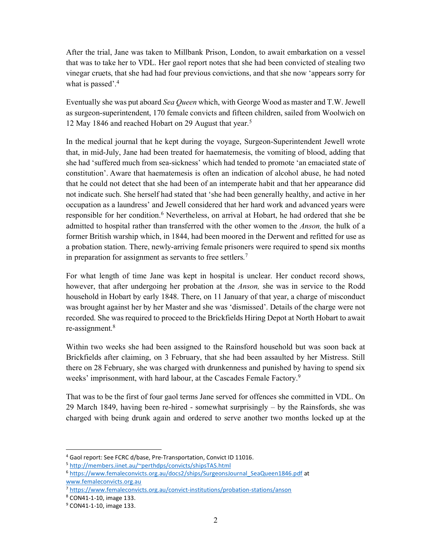After the trial, Jane was taken to Millbank Prison, London, to await embarkation on a vessel that was to take her to VDL. Her gaol report notes that she had been convicted of stealing two vinegar cruets, that she had had four previous convictions, and that she now 'appears sorry for what is passed'.<sup>4</sup>

Eventually she was put aboard Sea Oueen which, with George Wood as master and T.W. Jewell as surgeon-superintendent, 170 female convicts and fifteen children, sailed from Woolwich on 12 May 1846 and reached Hobart on 29 August that year.<sup>5</sup>

In the medical journal that he kept during the voyage, Surgeon-Superintendent Jewell wrote that, in mid-July, Jane had been treated for haematemesis, the vomiting of blood, adding that she had 'suffered much from sea-sickness' which had tended to promote 'an emaciated state of constitution'. Aware that haematemesis is often an indication of alcohol abuse, he had noted that he could not detect that she had been of an intemperate habit and that her appearance did not indicate such. She herself had stated that 'she had been generally healthy, and active in her occupation as a laundress' and Jewell considered that her hard work and advanced years were responsible for her condition.<sup>6</sup> Nevertheless, on arrival at Hobart, he had ordered that she be admitted to hospital rather than transferred with the other women to the *Anson*, the hulk of a former British warship which, in 1844, had been moored in the Derwent and refitted for use as a probation station. There, newly-arriving female prisoners were required to spend six months in preparation for assignment as servants to free settlers.<sup>7</sup>

For what length of time Jane was kept in hospital is unclear. Her conduct record shows, however, that after undergoing her probation at the *Anson*, she was in service to the Rodd household in Hobart by early 1848. There, on 11 January of that year, a charge of misconduct was brought against her by her Master and she was 'dismissed'. Details of the charge were not recorded. She was required to proceed to the Brickfields Hiring Depot at North Hobart to await re-assignment.<sup>8</sup>

Within two weeks she had been assigned to the Rainsford household but was soon back at Brickfields after claiming, on 3 February, that she had been assaulted by her Mistress. Still there on 28 February, she was charged with drunkenness and punished by having to spend six weeks' imprisonment, with hard labour, at the Cascades Female Factory.<sup>9</sup>

That was to be the first of four gaol terms Jane served for offences she committed in VDL. On 29 March 1849, having been re-hired - somewhat surprisingly – by the Rainsfords, she was charged with being drunk again and ordered to serve another two months locked up at the

<sup>4</sup> Gaol report: See FCRC d/base, Pre-Transportation, Convict ID 11016.

<sup>5</sup> http://members.iinet.au/~perthdps/convicts/shipsTAS.html

<sup>&</sup>lt;sup>6</sup> https://www.femaleconvicts.org.au/docs2/ships/SurgeonsJournal\_SeaQueen1846.pdf at www.femaleconvicts.org.au

<sup>&</sup>lt;sup>7</sup> https://www.femaleconvicts.org.au/convict-institutions/probation-stations/anson

<sup>8</sup> CON41-1-10, image 133.

<sup>&</sup>lt;sup>9</sup> CON41-1-10, image 133.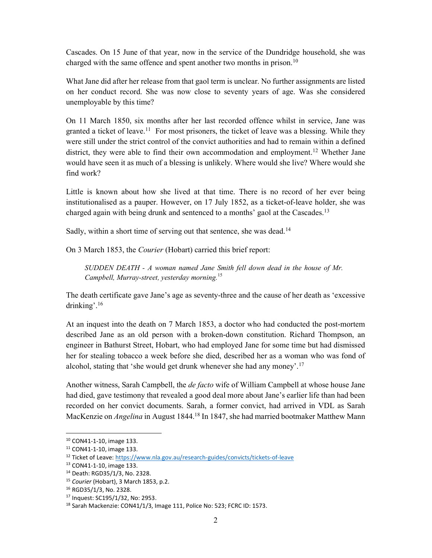Cascades. On 15 June of that year, now in the service of the Dundridge household, she was charged with the same offence and spent another two months in prison.<sup>10</sup>

What Jane did after her release from that gaol term is unclear. No further assignments are listed on her conduct record. She was now close to seventy years of age. Was she considered unemployable by this time?

On 11 March 1850, six months after her last recorded offence whilst in service, Jane was granted a ticket of leave.<sup>11</sup> For most prisoners, the ticket of leave was a blessing. While they were still under the strict control of the convict authorities and had to remain within a defined district, they were able to find their own accommodation and employment.<sup>12</sup> Whether Jane would have seen it as much of a blessing is unlikely. Where would she live? Where would she find work?

Little is known about how she lived at that time. There is no record of her ever being institutionalised as a pauper. However, on 17 July 1852, as a ticket-of-leave holder, she was charged again with being drunk and sentenced to a months' gaol at the Cascades.<sup>13</sup>

Sadly, within a short time of serving out that sentence, she was dead.<sup>14</sup>

On 3 March 1853, the Courier (Hobart) carried this brief report:

SUDDEN DEATH - A woman named Jane Smith fell down dead in the house of Mr. Campbell, Murray-street, yesterday morning.<sup>15</sup>

The death certificate gave Jane's age as seventy-three and the cause of her death as 'excessive drinking'.<sup>16</sup>

At an inquest into the death on 7 March 1853, a doctor who had conducted the post-mortem described Jane as an old person with a broken-down constitution. Richard Thompson, an engineer in Bathurst Street, Hobart, who had employed Jane for some time but had dismissed her for stealing tobacco a week before she died, described her as a woman who was fond of alcohol, stating that 'she would get drunk whenever she had any money'.<sup>17</sup>

Another witness, Sarah Campbell, the *de facto* wife of William Campbell at whose house Jane had died, gave testimony that revealed a good deal more about Jane's earlier life than had been recorded on her convict documents. Sarah, a former convict, had arrived in VDL as Sarah MacKenzie on *Angelina* in August 1844.<sup>18</sup> In 1847, she had married bootmaker Matthew Mann

<sup>10</sup> CON41-1-10, image 133.

<sup>11</sup> CON41-1-10, image 133.

<sup>&</sup>lt;sup>12</sup> Ticket of Leave: https://www.nla.gov.au/research-guides/convicts/tickets-of-leave

<sup>13</sup> CON41-1-10, image 133.

<sup>14</sup> Death: RGD35/1/3, No. 2328.

<sup>&</sup>lt;sup>15</sup> Courier (Hobart), 3 March 1853, p.2.

<sup>16</sup> RGD35/1/3, No. 2328.

<sup>17</sup> Inquest: SC195/1/32, No: 2953.

<sup>18</sup> Sarah Mackenzie: CON41/1/3, Image 111, Police No: 523; FCRC ID: 1573.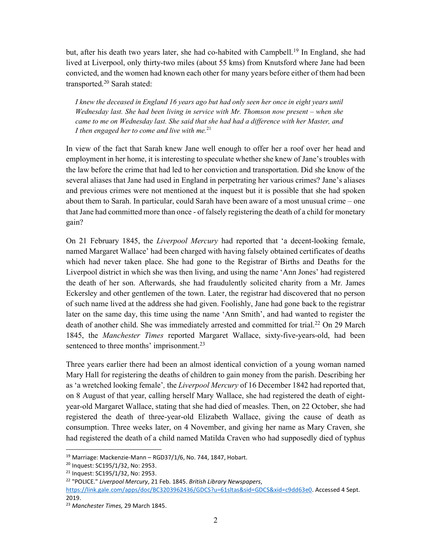but, after his death two years later, she had co-habited with Campbell.<sup>19</sup> In England, she had lived at Liverpool, only thirty-two miles (about 55 kms) from Knutsford where Jane had been convicted, and the women had known each other for many years before either of them had been transported.<sup>20</sup> Sarah stated:

I knew the deceased in England 16 years ago but had only seen her once in eight years until Wednesday last. She had been living in service with Mr. Thomson now present – when she came to me on Wednesday last. She said that she had had a difference with her Master, and I then engaged her to come and live with me. $^{21}$ 

In view of the fact that Sarah knew Jane well enough to offer her a roof over her head and employment in her home, it is interesting to speculate whether she knew of Jane's troubles with the law before the crime that had led to her conviction and transportation. Did she know of the several aliases that Jane had used in England in perpetrating her various crimes? Jane's aliases and previous crimes were not mentioned at the inquest but it is possible that she had spoken about them to Sarah. In particular, could Sarah have been aware of a most unusual crime – one that Jane had committed more than once - of falsely registering the death of a child for monetary gain?

On 21 February 1845, the Liverpool Mercury had reported that 'a decent-looking female, named Margaret Wallace' had been charged with having falsely obtained certificates of deaths which had never taken place. She had gone to the Registrar of Births and Deaths for the Liverpool district in which she was then living, and using the name 'Ann Jones' had registered the death of her son. Afterwards, she had fraudulently solicited charity from a Mr. James Eckersley and other gentlemen of the town. Later, the registrar had discovered that no person of such name lived at the address she had given. Foolishly, Jane had gone back to the registrar later on the same day, this time using the name 'Ann Smith', and had wanted to register the death of another child. She was immediately arrested and committed for trial.<sup>22</sup> On 29 March 1845, the Manchester Times reported Margaret Wallace, sixty-five-years-old, had been sentenced to three months' imprisonment.<sup>23</sup>

Three years earlier there had been an almost identical conviction of a young woman named Mary Hall for registering the deaths of children to gain money from the parish. Describing her as 'a wretched looking female', the *Liverpool Mercury* of 16 December 1842 had reported that, on 8 August of that year, calling herself Mary Wallace, she had registered the death of eightyear-old Margaret Wallace, stating that she had died of measles. Then, on 22 October, she had registered the death of three-year-old Elizabeth Wallace, giving the cause of death as consumption. Three weeks later, on 4 November, and giving her name as Mary Craven, she had registered the death of a child named Matilda Craven who had supposedly died of typhus

 $19$  Marriage: Mackenzie-Mann - RGD37/1/6, No. 744, 1847, Hobart.

<sup>20</sup> Inquest: SC195/1/32, No: 2953.

<sup>21</sup> Inquest: SC195/1/32, No: 2953.

<sup>&</sup>lt;sup>22</sup> "POLICE." Liverpool Mercury, 21 Feb. 1845. British Library Newspapers,

https://link.gale.com/apps/doc/BC3203962436/GDCS?u=61sltas&sid=GDCS&xid=c9dd63e0. Accessed 4 Sept. 2019.

<sup>&</sup>lt;sup>23</sup> Manchester Times, 29 March 1845.